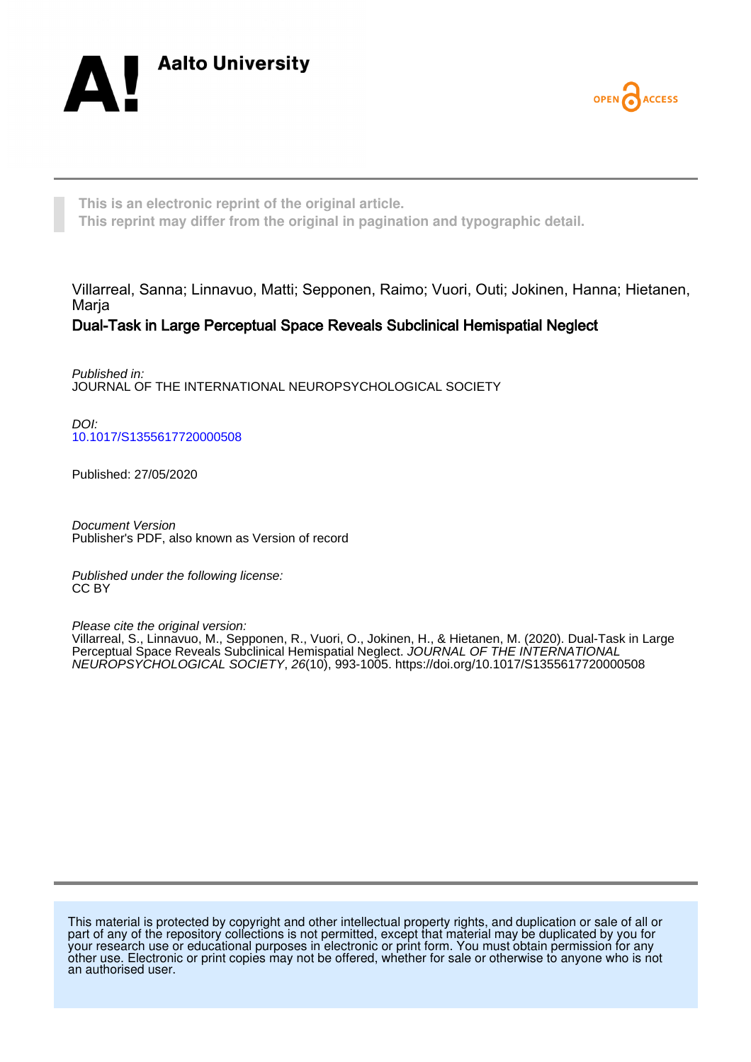



**This is an electronic reprint of the original article. This reprint may differ from the original in pagination and typographic detail.**

Villarreal, Sanna; Linnavuo, Matti; Sepponen, Raimo; Vuori, Outi; Jokinen, Hanna; Hietanen, Marja

## Dual-Task in Large Perceptual Space Reveals Subclinical Hemispatial Neglect

Published in: JOURNAL OF THE INTERNATIONAL NEUROPSYCHOLOGICAL SOCIETY

DOI: [10.1017/S1355617720000508](https://doi.org/10.1017/S1355617720000508)

Published: 27/05/2020

Document Version Publisher's PDF, also known as Version of record

Published under the following license: CC BY

Please cite the original version:

Villarreal, S., Linnavuo, M., Sepponen, R., Vuori, O., Jokinen, H., & Hietanen, M. (2020). Dual-Task in Large Perceptual Space Reveals Subclinical Hemispatial Neglect. JOURNAL OF THE INTERNATIONAL NEUROPSYCHOLOGICAL SOCIETY, 26(10), 993-1005.<https://doi.org/10.1017/S1355617720000508>

This material is protected by copyright and other intellectual property rights, and duplication or sale of all or part of any of the repository collections is not permitted, except that material may be duplicated by you for your research use or educational purposes in electronic or print form. You must obtain permission for any other use. Electronic or print copies may not be offered, whether for sale or otherwise to anyone who is not an authorised user.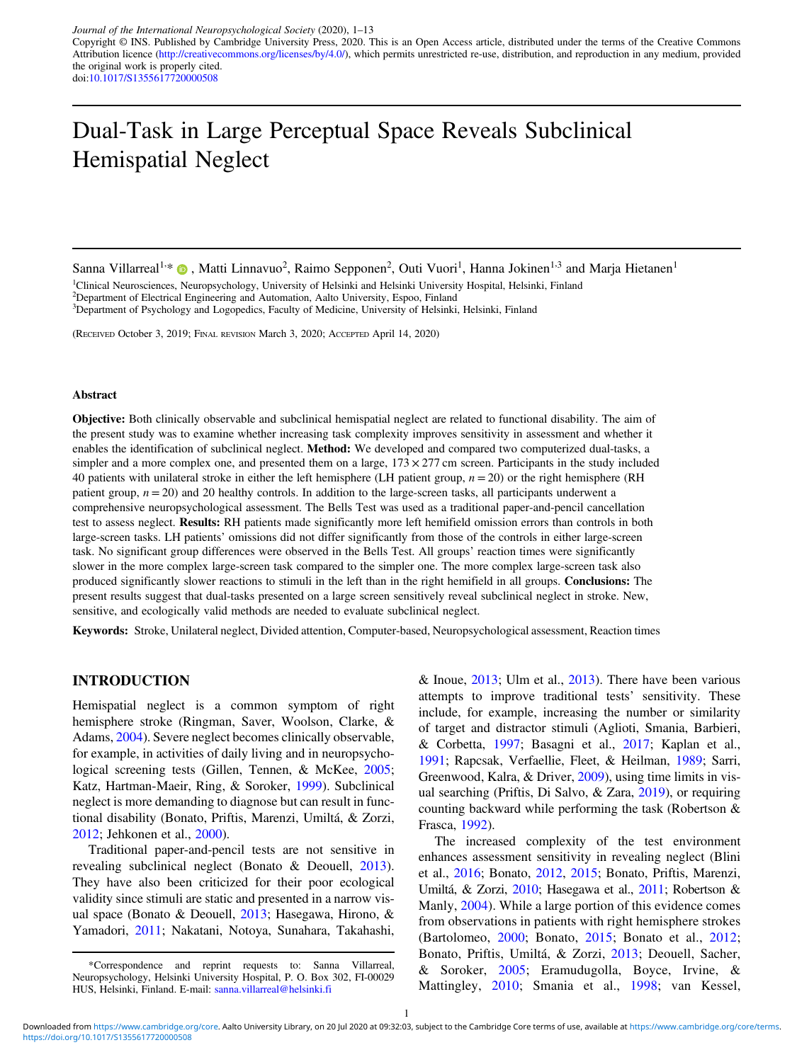Journal of the International Neuropsychological Society (2020), 1–13 Copyright © INS. Published by Cambridge University Press, 2020. This is an Open Access article, distributed under the terms of the Creative Commons Attribution licence [\(http://creativecommons.org/licenses/by/4.0/\)](http://creativecommons.org/licenses/by/4.0/), which permits unrestricted re-use, distribution, and reproduction in any medium, provided the original work is properly cited. doi[:10.1017/S1355617720000508](https://doi.org/10.1017/S1355617720000508)

# Dual-Task in Large Perceptual Space Reveals Subclinical Hemispatial Neglect

Sanna Villarreal<sup>1,\*</sup> (D, Matti Linnavuo<sup>2</sup>, Raimo Sepponen<sup>2</sup>, Outi Vuori<sup>1</sup>, Hanna Jokinen<sup>1,3</sup> and Marja Hietanen<sup>1</sup>

<sup>1</sup>Clinical Neurosciences, Neuropsychology, University of Helsinki and Helsinki University Hospital, Helsinki, Finland

<sup>2</sup>Department of Electrical Engineering and Automation, Aalto University, Espoo, Finland

3 Department of Psychology and Logopedics, Faculty of Medicine, University of Helsinki, Helsinki, Finland

(RECEIVED October 3, 2019; FINAL REVISION March 3, 2020; ACCEPTED April 14, 2020)

#### Abstract

Objective: Both clinically observable and subclinical hemispatial neglect are related to functional disability. The aim of the present study was to examine whether increasing task complexity improves sensitivity in assessment and whether it enables the identification of subclinical neglect. Method: We developed and compared two computerized dual-tasks, a simpler and a more complex one, and presented them on a large,  $173 \times 277$  cm screen. Participants in the study included 40 patients with unilateral stroke in either the left hemisphere (LH patient group,  $n = 20$ ) or the right hemisphere (RH patient group,  $n = 20$ ) and 20 healthy controls. In addition to the large-screen tasks, all participants underwent a comprehensive neuropsychological assessment. The Bells Test was used as a traditional paper-and-pencil cancellation test to assess neglect. Results: RH patients made significantly more left hemifield omission errors than controls in both large-screen tasks. LH patients' omissions did not differ significantly from those of the controls in either large-screen task. No significant group differences were observed in the Bells Test. All groups' reaction times were significantly slower in the more complex large-screen task compared to the simpler one. The more complex large-screen task also produced significantly slower reactions to stimuli in the left than in the right hemifield in all groups. Conclusions: The present results suggest that dual-tasks presented on a large screen sensitively reveal subclinical neglect in stroke. New, sensitive, and ecologically valid methods are needed to evaluate subclinical neglect.

Keywords: Stroke, Unilateral neglect, Divided attention, Computer-based, Neuropsychological assessment, Reaction times

## INTRODUCTION

Hemispatial neglect is a common symptom of right hemisphere stroke (Ringman, Saver, Woolson, Clarke, & Adams, [2004\)](#page-12-0). Severe neglect becomes clinically observable, for example, in activities of daily living and in neuropsychological screening tests (Gillen, Tennen, & McKee, [2005](#page-11-0); Katz, Hartman-Maeir, Ring, & Soroker, [1999](#page-12-0)). Subclinical neglect is more demanding to diagnose but can result in functional disability (Bonato, Priftis, Marenzi, Umiltá, & Zorzi, [2012](#page-11-0); Jehkonen et al., [2000\)](#page-12-0).

Traditional paper-and-pencil tests are not sensitive in revealing subclinical neglect (Bonato & Deouell, [2013](#page-11-0)). They have also been criticized for their poor ecological validity since stimuli are static and presented in a narrow visual space (Bonato & Deouell, [2013](#page-11-0); Hasegawa, Hirono, & Yamadori, [2011;](#page-11-0) Nakatani, Notoya, Sunahara, Takahashi,

 $&$  Inoue, [2013](#page-12-0); Ulm et al., [2013\)](#page-13-0). There have been various attempts to improve traditional tests' sensitivity. These include, for example, increasing the number or similarity of target and distractor stimuli (Aglioti, Smania, Barbieri, & Corbetta, [1997;](#page-11-0) Basagni et al., [2017](#page-11-0); Kaplan et al., [1991;](#page-12-0) Rapcsak, Verfaellie, Fleet, & Heilman, [1989;](#page-12-0) Sarri, Greenwood, Kalra, & Driver, [2009\)](#page-13-0), using time limits in visual searching (Priftis, Di Salvo, & Zara, [2019\)](#page-12-0), or requiring counting backward while performing the task (Robertson & Frasca, [1992](#page-12-0)).

The increased complexity of the test environment enhances assessment sensitivity in revealing neglect (Blini et al., [2016](#page-11-0); Bonato, [2012](#page-11-0), [2015](#page-11-0); Bonato, Priftis, Marenzi, Umiltá, & Zorzi, [2010](#page-11-0); Hasegawa et al., [2011](#page-11-0); Robertson & Manly, [2004\)](#page-12-0). While a large portion of this evidence comes from observations in patients with right hemisphere strokes (Bartolomeo, [2000](#page-11-0); Bonato, [2015;](#page-11-0) Bonato et al., [2012](#page-11-0); Bonato, Priftis, Umiltá, & Zorzi, [2013;](#page-11-0) Deouell, Sacher, & Soroker, [2005;](#page-11-0) Eramudugolla, Boyce, Irvine, & Mattingley, [2010;](#page-11-0) Smania et al., [1998](#page-13-0); van Kessel,

<sup>\*</sup>Correspondence and reprint requests to: Sanna Villarreal, Neuropsychology, Helsinki University Hospital, P. O. Box 302, FI-00029 HUS, Helsinki, Finland. E-mail: [sanna.villarreal@helsinki.fi](mailto:sanna.villarreal@helsinki.fi)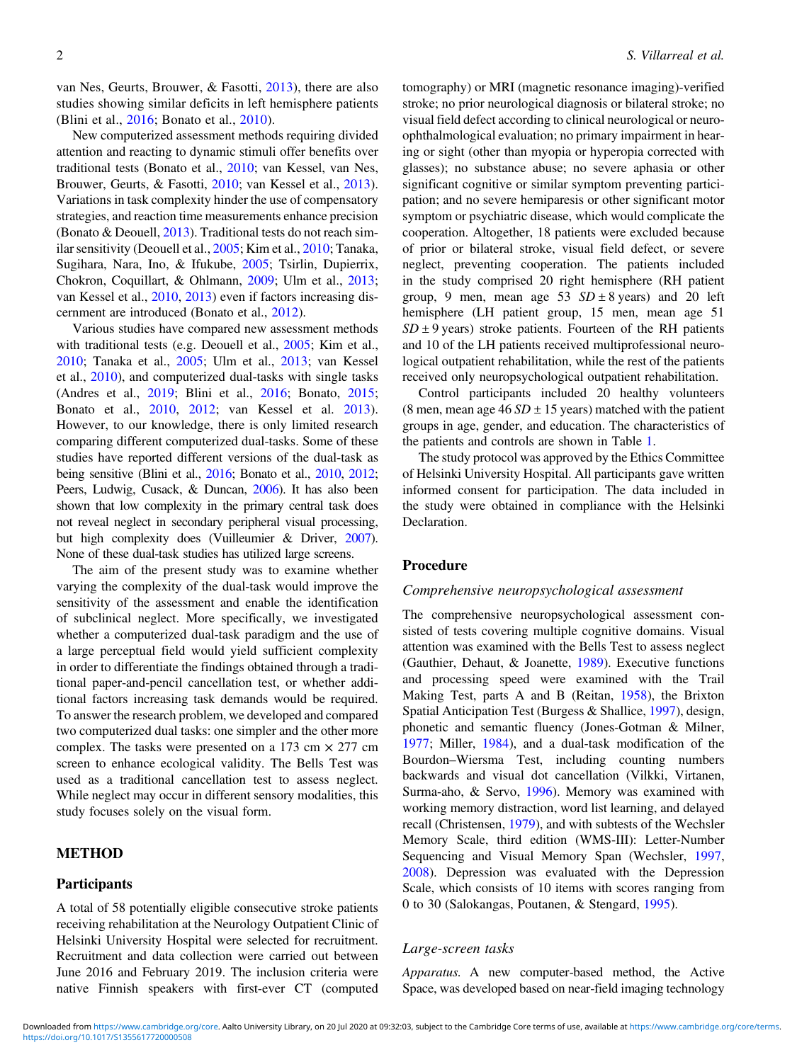van Nes, Geurts, Brouwer, & Fasotti, [2013\)](#page-13-0), there are also studies showing similar deficits in left hemisphere patients (Blini et al., [2016;](#page-11-0) Bonato et al., [2010](#page-11-0)).

New computerized assessment methods requiring divided attention and reacting to dynamic stimuli offer benefits over traditional tests (Bonato et al., [2010](#page-11-0); van Kessel, van Nes, Brouwer, Geurts, & Fasotti, [2010;](#page-13-0) van Kessel et al., [2013](#page-13-0)). Variations in task complexity hinder the use of compensatory strategies, and reaction time measurements enhance precision (Bonato & Deouell, [2013\)](#page-11-0). Traditional tests do not reach similar sensitivity (Deouell et al., [2005;](#page-11-0) Kim et al., [2010;](#page-12-0) Tanaka, Sugihara, Nara, Ino, & Ifukube, [2005;](#page-13-0) Tsirlin, Dupierrix, Chokron, Coquillart, & Ohlmann, [2009;](#page-13-0) Ulm et al., [2013](#page-13-0); van Kessel et al., [2010,](#page-13-0) [2013](#page-13-0)) even if factors increasing discernment are introduced (Bonato et al., [2012](#page-11-0)).

Various studies have compared new assessment methods with traditional tests (e.g. Deouell et al., [2005](#page-11-0); Kim et al., [2010](#page-12-0); Tanaka et al., [2005](#page-13-0); Ulm et al., [2013](#page-13-0); van Kessel et al., [2010\)](#page-13-0), and computerized dual-tasks with single tasks (Andres et al., [2019;](#page-11-0) Blini et al., [2016](#page-11-0); Bonato, [2015](#page-11-0); Bonato et al., [2010](#page-11-0), [2012;](#page-11-0) van Kessel et al. [2013](#page-13-0)). However, to our knowledge, there is only limited research comparing different computerized dual-tasks. Some of these studies have reported different versions of the dual-task as being sensitive (Blini et al., [2016;](#page-11-0) Bonato et al., [2010](#page-11-0), [2012](#page-11-0); Peers, Ludwig, Cusack, & Duncan, [2006\)](#page-12-0). It has also been shown that low complexity in the primary central task does not reveal neglect in secondary peripheral visual processing, but high complexity does (Vuilleumier & Driver, [2007](#page-13-0)). None of these dual-task studies has utilized large screens.

The aim of the present study was to examine whether varying the complexity of the dual-task would improve the sensitivity of the assessment and enable the identification of subclinical neglect. More specifically, we investigated whether a computerized dual-task paradigm and the use of a large perceptual field would yield sufficient complexity in order to differentiate the findings obtained through a traditional paper-and-pencil cancellation test, or whether additional factors increasing task demands would be required. To answer the research problem, we developed and compared two computerized dual tasks: one simpler and the other more complex. The tasks were presented on a 173 cm  $\times$  277 cm screen to enhance ecological validity. The Bells Test was used as a traditional cancellation test to assess neglect. While neglect may occur in different sensory modalities, this study focuses solely on the visual form.

## METHOD

#### **Participants**

A total of 58 potentially eligible consecutive stroke patients receiving rehabilitation at the Neurology Outpatient Clinic of Helsinki University Hospital were selected for recruitment. Recruitment and data collection were carried out between June 2016 and February 2019. The inclusion criteria were native Finnish speakers with first-ever CT (computed

tomography) or MRI (magnetic resonance imaging)-verified stroke; no prior neurological diagnosis or bilateral stroke; no visual field defect according to clinical neurological or neuroophthalmological evaluation; no primary impairment in hearing or sight (other than myopia or hyperopia corrected with glasses); no substance abuse; no severe aphasia or other significant cognitive or similar symptom preventing participation; and no severe hemiparesis or other significant motor symptom or psychiatric disease, which would complicate the cooperation. Altogether, 18 patients were excluded because of prior or bilateral stroke, visual field defect, or severe neglect, preventing cooperation. The patients included in the study comprised 20 right hemisphere (RH patient group, 9 men, mean age  $53$   $SD \pm 8$  years) and 20 left hemisphere (LH patient group, 15 men, mean age 51  $SD \pm 9$  years) stroke patients. Fourteen of the RH patients and 10 of the LH patients received multiprofessional neurological outpatient rehabilitation, while the rest of the patients received only neuropsychological outpatient rehabilitation.

Control participants included 20 healthy volunteers (8 men, mean age  $46 SD \pm 15$  years) matched with the patient groups in age, gender, and education. The characteristics of the patients and controls are shown in Table [1](#page-3-0).

The study protocol was approved by the Ethics Committee of Helsinki University Hospital. All participants gave written informed consent for participation. The data included in the study were obtained in compliance with the Helsinki Declaration.

## Procedure

#### Comprehensive neuropsychological assessment

The comprehensive neuropsychological assessment consisted of tests covering multiple cognitive domains. Visual attention was examined with the Bells Test to assess neglect (Gauthier, Dehaut, & Joanette, [1989\)](#page-11-0). Executive functions and processing speed were examined with the Trail Making Test, parts A and B (Reitan, [1958](#page-12-0)), the Brixton Spatial Anticipation Test (Burgess & Shallice, [1997\)](#page-11-0), design, phonetic and semantic fluency (Jones-Gotman & Milner, [1977](#page-12-0); Miller, [1984](#page-12-0)), and a dual-task modification of the Bourdon–Wiersma Test, including counting numbers backwards and visual dot cancellation (Vilkki, Virtanen, Surma-aho, & Servo, [1996\)](#page-13-0). Memory was examined with working memory distraction, word list learning, and delayed recall (Christensen, [1979](#page-11-0)), and with subtests of the Wechsler Memory Scale, third edition (WMS-III): Letter-Number Sequencing and Visual Memory Span (Wechsler, [1997,](#page-13-0) [2008](#page-13-0)). Depression was evaluated with the Depression Scale, which consists of 10 items with scores ranging from 0 to 30 (Salokangas, Poutanen, & Stengard, [1995\)](#page-12-0).

## Large-screen tasks

Apparatus. A new computer-based method, the Active Space, was developed based on near-field imaging technology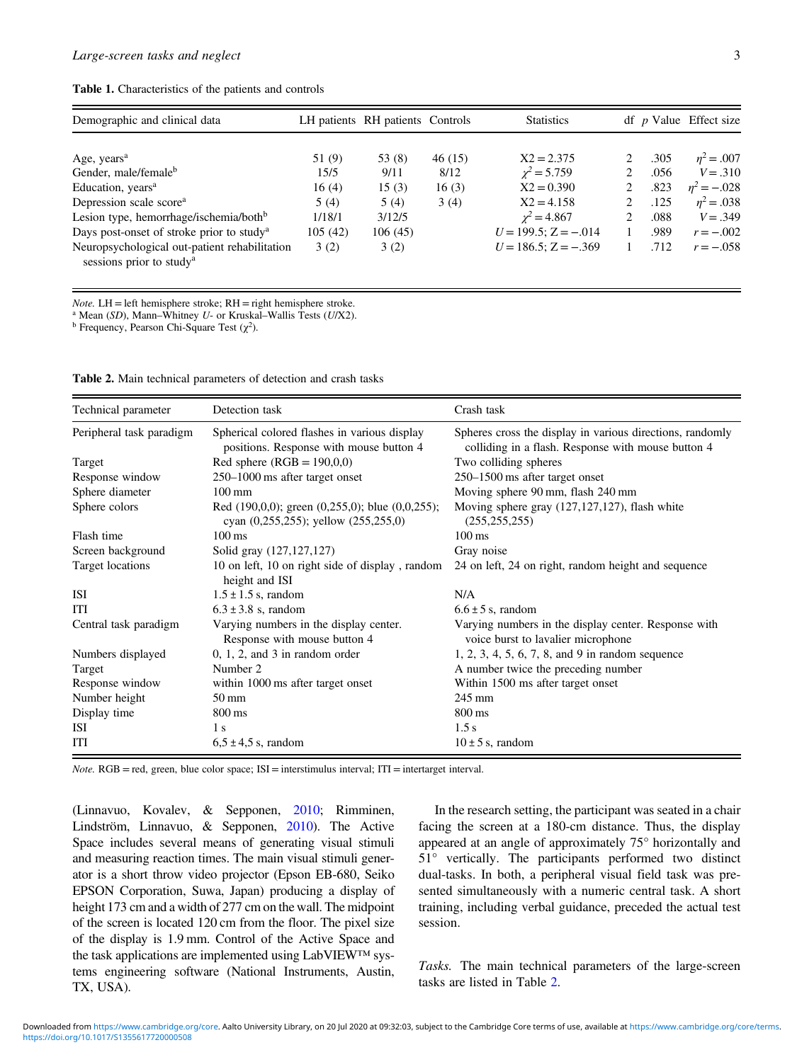#### <span id="page-3-0"></span>Table 1. Characteristics of the patients and controls

| Demographic and clinical data                                                         |         | LH patients RH patients Controls |        | <b>Statistics</b>         |      | $df$ <i>p</i> Value Effect size |
|---------------------------------------------------------------------------------------|---------|----------------------------------|--------|---------------------------|------|---------------------------------|
|                                                                                       |         |                                  |        |                           |      |                                 |
| Age, years $a$                                                                        | 51 (9)  | 53 (8)                           | 46(15) | $X2 = 2.375$              | .305 | $n^2 = .007$                    |
| Gender, male/female <sup>b</sup>                                                      | 15/5    | 9/11                             | 8/12   | $\chi^2 = 5.759$          | .056 | $V = .310$                      |
| Education, years <sup>a</sup>                                                         | 16(4)   | 15(3)                            | 16(3)  | $X2 = 0.390$              | .823 | $n^2 = -.028$                   |
| Depression scale score <sup>a</sup>                                                   | 5(4)    | 5(4)                             | 3(4)   | $X2 = 4.158$              | .125 | $n^2 = .038$                    |
| Lesion type, hemorrhage/ischemia/both <sup>b</sup>                                    | 1/18/1  | 3/12/5                           |        | $v^2 = 4.867$             | .088 | $V = .349$                      |
| Days post-onset of stroke prior to study <sup>a</sup>                                 | 105(42) | 106(45)                          |        | $U = 199.5$ ; $Z = -.014$ | .989 | $r = -.002$                     |
| Neuropsychological out-patient rehabilitation<br>sessions prior to study <sup>a</sup> | 3(2)    | 3(2)                             |        | $U = 186.5$ ; $Z = -.369$ | .712 | $r = -.058$                     |

*Note.* LH = left hemisphere stroke; RH = right hemisphere stroke.  $a$  Mean (*SD*), Mann–Whitney *U*- or Kruskal–Wallis Tests (*U/X2*).

<sup>b</sup> Frequency, Pearson Chi-Square Test  $(\chi^2)$ .

| Technical parameter      | Detection task                                                                                        | Crash task                                                                                                      |
|--------------------------|-------------------------------------------------------------------------------------------------------|-----------------------------------------------------------------------------------------------------------------|
| Peripheral task paradigm | Spherical colored flashes in various display<br>positions. Response with mouse button 4               | Spheres cross the display in various directions, randomly<br>colliding in a flash. Response with mouse button 4 |
| Target                   | Red sphere (RGB = $190,0,0$ )                                                                         | Two colliding spheres                                                                                           |
| Response window          | $250-1000$ ms after target onset                                                                      | 250–1500 ms after target onset                                                                                  |
| Sphere diameter          | $100 \,\mathrm{mm}$                                                                                   | Moving sphere 90 mm, flash 240 mm                                                                               |
| Sphere colors            | Red $(190,0,0)$ ; green $(0,255,0)$ ; blue $(0,0,255)$ ;<br>cyan $(0,255,255)$ ; yellow $(255,255,0)$ | Moving sphere gray (127,127,127), flash white<br>(255, 255, 255)                                                |
| Flash time               | $100 \text{ ms}$                                                                                      | $100 \text{ ms}$                                                                                                |
| Screen background        | Solid gray (127,127,127)                                                                              | Gray noise                                                                                                      |
| Target locations         | 10 on left, 10 on right side of display, random<br>height and ISI                                     | 24 on left, 24 on right, random height and sequence                                                             |
| <b>ISI</b>               | $1.5 \pm 1.5$ s, random                                                                               | N/A                                                                                                             |
| ITI                      | $6.3 \pm 3.8$ s, random                                                                               | $6.6 \pm 5$ s, random                                                                                           |
| Central task paradigm    | Varying numbers in the display center.<br>Response with mouse button 4                                | Varying numbers in the display center. Response with<br>voice burst to lavalier microphone                      |
| Numbers displayed        | $0, 1, 2,$ and $3$ in random order                                                                    | $1, 2, 3, 4, 5, 6, 7, 8,$ and 9 in random sequence                                                              |
| Target                   | Number 2                                                                                              | A number twice the preceding number                                                                             |
| Response window          | within 1000 ms after target onset                                                                     | Within 1500 ms after target onset                                                                               |
| Number height            | 50 mm                                                                                                 | $245 \text{ mm}$                                                                                                |
| Display time             | $800 \,\mathrm{ms}$                                                                                   | $800 \text{ ms}$                                                                                                |
| <b>ISI</b>               | 1 <sub>s</sub>                                                                                        | 1.5 s                                                                                                           |
| IТI                      | $6.5 \pm 4.5$ s, random                                                                               | $10 \pm 5$ s, random                                                                                            |

*Note.*  $RGB = red$ , green, blue color space;  $ISI =$  interstimulus interval;  $ITI =$  intertarget interval.

(Linnavuo, Kovalev, & Sepponen, [2010](#page-12-0); Rimminen, Lindström, Linnavuo, & Sepponen, [2010](#page-12-0)). The Active Space includes several means of generating visual stimuli and measuring reaction times. The main visual stimuli generator is a short throw video projector (Epson EB-680, Seiko EPSON Corporation, Suwa, Japan) producing a display of height 173 cm and a width of 277 cm on the wall. The midpoint of the screen is located 120 cm from the floor. The pixel size of the display is 1.9 mm. Control of the Active Space and the task applications are implemented using LabVIEW™ systems engineering software (National Instruments, Austin, TX, USA).

In the research setting, the participant was seated in a chair facing the screen at a 180-cm distance. Thus, the display appeared at an angle of approximately 75° horizontally and 51° vertically. The participants performed two distinct dual-tasks. In both, a peripheral visual field task was presented simultaneously with a numeric central task. A short training, including verbal guidance, preceded the actual test session.

Tasks. The main technical parameters of the large-screen tasks are listed in Table 2.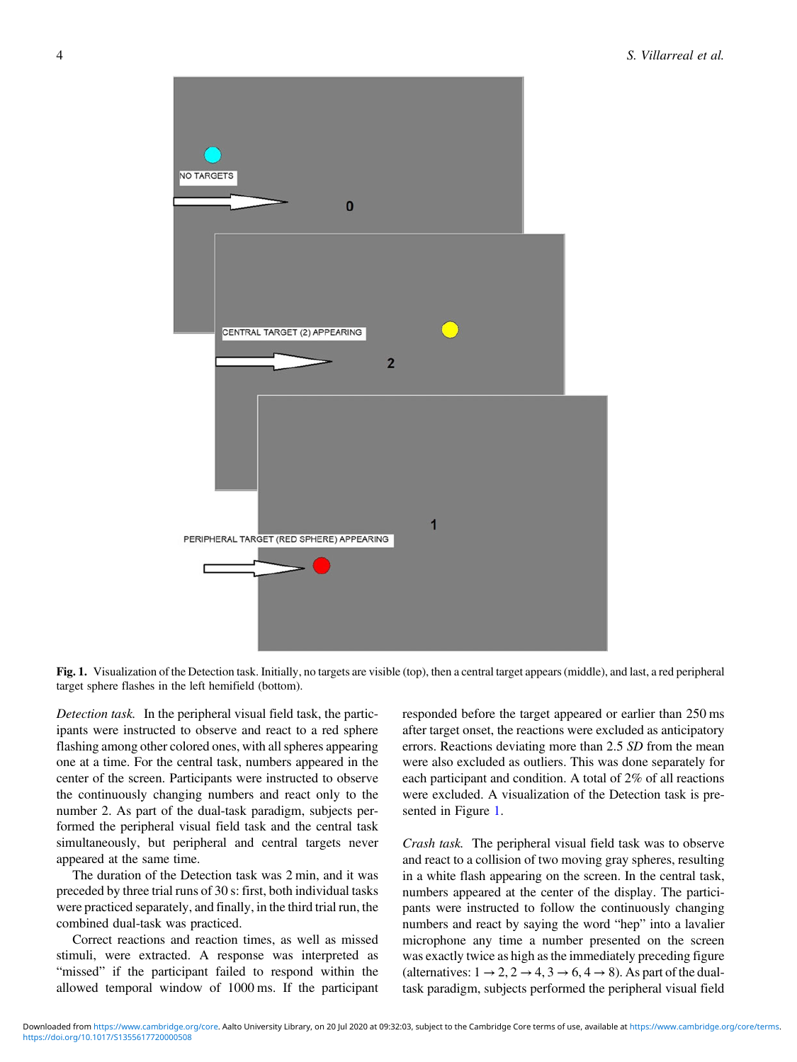

Fig. 1. Visualization of the Detection task. Initially, no targets are visible (top), then a central target appears (middle), and last, a red peripheral target sphere flashes in the left hemifield (bottom).

Detection task. In the peripheral visual field task, the participants were instructed to observe and react to a red sphere flashing among other colored ones, with all spheres appearing one at a time. For the central task, numbers appeared in the center of the screen. Participants were instructed to observe the continuously changing numbers and react only to the number 2. As part of the dual-task paradigm, subjects performed the peripheral visual field task and the central task simultaneously, but peripheral and central targets never appeared at the same time.

The duration of the Detection task was 2 min, and it was preceded by three trial runs of 30 s: first, both individual tasks were practiced separately, and finally, in the third trial run, the combined dual-task was practiced.

Correct reactions and reaction times, as well as missed stimuli, were extracted. A response was interpreted as "missed" if the participant failed to respond within the allowed temporal window of 1000 ms. If the participant

responded before the target appeared or earlier than 250 ms after target onset, the reactions were excluded as anticipatory errors. Reactions deviating more than 2.5 SD from the mean were also excluded as outliers. This was done separately for each participant and condition. A total of 2% of all reactions were excluded. A visualization of the Detection task is presented in Figure 1.

Crash task. The peripheral visual field task was to observe and react to a collision of two moving gray spheres, resulting in a white flash appearing on the screen. In the central task, numbers appeared at the center of the display. The participants were instructed to follow the continuously changing numbers and react by saying the word "hep" into a lavalier microphone any time a number presented on the screen was exactly twice as high as the immediately preceding figure (alternatives:  $1 \rightarrow 2$ ,  $2 \rightarrow 4$ ,  $3 \rightarrow 6$ ,  $4 \rightarrow 8$ ). As part of the dualtask paradigm, subjects performed the peripheral visual field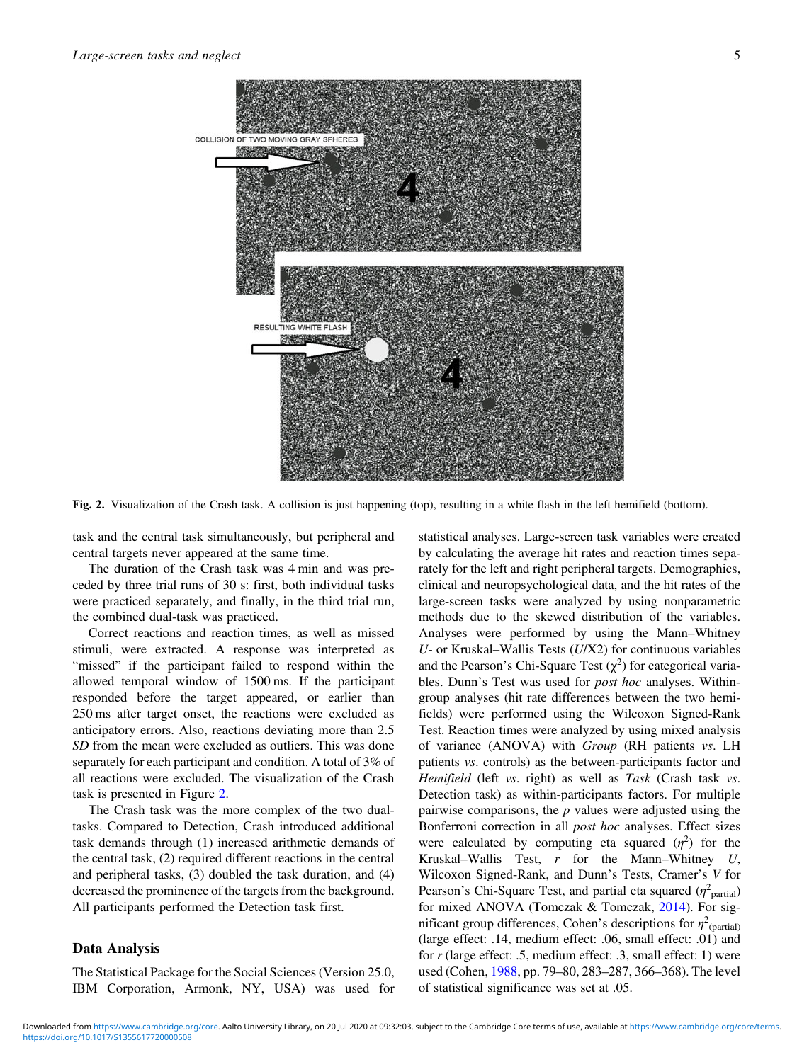

Fig. 2. Visualization of the Crash task. A collision is just happening (top), resulting in a white flash in the left hemifield (bottom).

task and the central task simultaneously, but peripheral and central targets never appeared at the same time.

The duration of the Crash task was 4 min and was preceded by three trial runs of 30 s: first, both individual tasks were practiced separately, and finally, in the third trial run, the combined dual-task was practiced.

Correct reactions and reaction times, as well as missed stimuli, were extracted. A response was interpreted as "missed" if the participant failed to respond within the allowed temporal window of 1500 ms. If the participant responded before the target appeared, or earlier than 250 ms after target onset, the reactions were excluded as anticipatory errors. Also, reactions deviating more than 2.5 SD from the mean were excluded as outliers. This was done separately for each participant and condition. A total of 3% of all reactions were excluded. The visualization of the Crash task is presented in Figure 2.

The Crash task was the more complex of the two dualtasks. Compared to Detection, Crash introduced additional task demands through (1) increased arithmetic demands of the central task, (2) required different reactions in the central and peripheral tasks, (3) doubled the task duration, and (4) decreased the prominence of the targets from the background. All participants performed the Detection task first.

## Data Analysis

The Statistical Package for the Social Sciences (Version 25.0, IBM Corporation, Armonk, NY, USA) was used for

statistical analyses. Large-screen task variables were created by calculating the average hit rates and reaction times separately for the left and right peripheral targets. Demographics, clinical and neuropsychological data, and the hit rates of the large-screen tasks were analyzed by using nonparametric methods due to the skewed distribution of the variables. Analyses were performed by using the Mann–Whitney U- or Kruskal–Wallis Tests (U/X2) for continuous variables and the Pearson's Chi-Square Test  $(\chi^2)$  for categorical variables. Dunn's Test was used for *post hoc* analyses. Withingroup analyses (hit rate differences between the two hemifields) were performed using the Wilcoxon Signed-Rank Test. Reaction times were analyzed by using mixed analysis of variance (ANOVA) with Group (RH patients vs. LH patients vs. controls) as the between-participants factor and Hemifield (left vs. right) as well as Task (Crash task vs. Detection task) as within-participants factors. For multiple pairwise comparisons, the  $p$  values were adjusted using the Bonferroni correction in all post hoc analyses. Effect sizes were calculated by computing eta squared  $(\eta^2)$  for the Kruskal–Wallis Test,  $r$  for the Mann–Whitney  $U$ , Wilcoxon Signed-Rank, and Dunn's Tests, Cramer's V for Pearson's Chi-Square Test, and partial eta squared  $(\eta^2_{\text{partial}})$ for mixed ANOVA (Tomczak & Tomczak, [2014](#page-13-0)). For significant group differences, Cohen's descriptions for  $\eta^2_{\text{(partial)}}$ (large effect: .14, medium effect: .06, small effect: .01) and for r (large effect: .5, medium effect: .3, small effect: 1) were used (Cohen, [1988,](#page-11-0) pp. 79–80, 283–287, 366–368). The level of statistical significance was set at .05.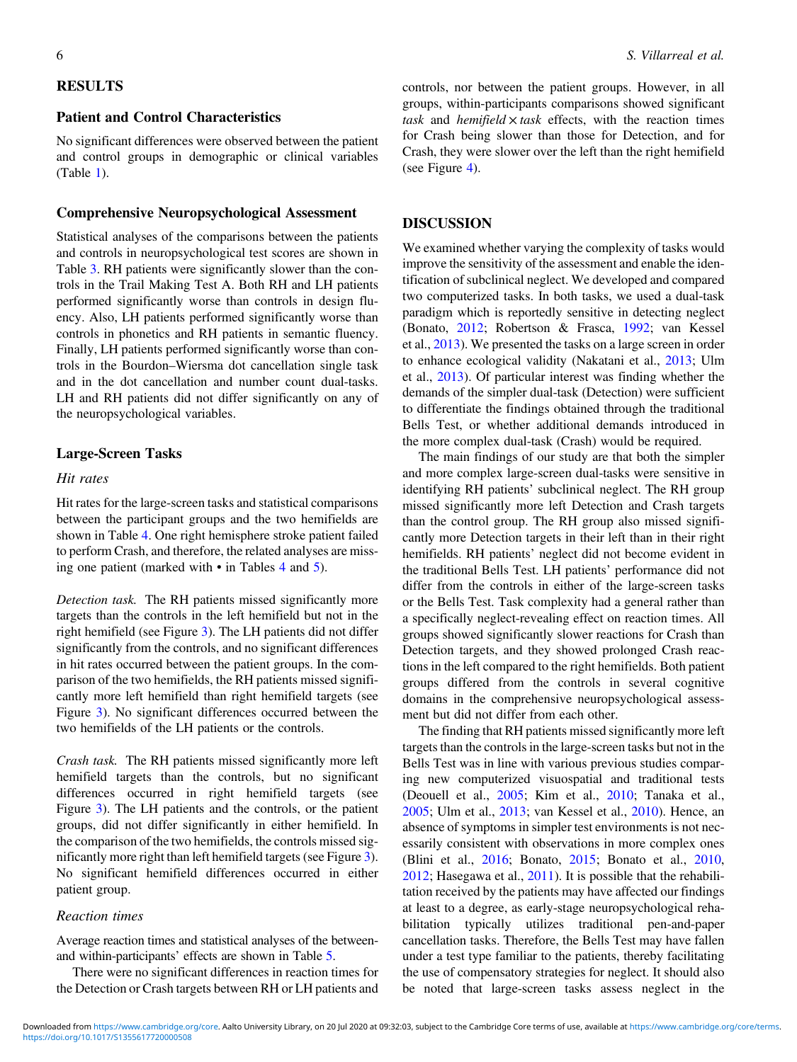## RESULTS

## Patient and Control Characteristics

No significant differences were observed between the patient and control groups in demographic or clinical variables (Table [1\)](#page-3-0).

## Comprehensive Neuropsychological Assessment

Statistical analyses of the comparisons between the patients and controls in neuropsychological test scores are shown in Table [3](#page-7-0). RH patients were significantly slower than the controls in the Trail Making Test A. Both RH and LH patients performed significantly worse than controls in design fluency. Also, LH patients performed significantly worse than controls in phonetics and RH patients in semantic fluency. Finally, LH patients performed significantly worse than controls in the Bourdon–Wiersma dot cancellation single task and in the dot cancellation and number count dual-tasks. LH and RH patients did not differ significantly on any of the neuropsychological variables.

#### Large-Screen Tasks

## Hit rates

Hit rates for the large-screen tasks and statistical comparisons between the participant groups and the two hemifields are shown in Table [4.](#page-8-0) One right hemisphere stroke patient failed to perform Crash, and therefore, the related analyses are missing one patient (marked with  $\cdot$  in Tables [4](#page-8-0) and [5\)](#page-8-0).

Detection task. The RH patients missed significantly more targets than the controls in the left hemifield but not in the right hemifield (see Figure [3](#page-9-0)). The LH patients did not differ significantly from the controls, and no significant differences in hit rates occurred between the patient groups. In the comparison of the two hemifields, the RH patients missed significantly more left hemifield than right hemifield targets (see Figure [3\)](#page-9-0). No significant differences occurred between the two hemifields of the LH patients or the controls.

Crash task. The RH patients missed significantly more left hemifield targets than the controls, but no significant differences occurred in right hemifield targets (see Figure [3](#page-9-0)). The LH patients and the controls, or the patient groups, did not differ significantly in either hemifield. In the comparison of the two hemifields, the controls missed significantly more right than left hemifield targets (see Figure [3](#page-9-0)). No significant hemifield differences occurred in either patient group.

## Reaction times

Average reaction times and statistical analyses of the betweenand within-participants' effects are shown in Table [5.](#page-8-0)

There were no significant differences in reaction times for the Detection or Crash targets between RH or LH patients and

controls, nor between the patient groups. However, in all groups, within-participants comparisons showed significant task and hemifield  $\times$  task effects, with the reaction times for Crash being slower than those for Detection, and for Crash, they were slower over the left than the right hemifield (see Figure [4\)](#page-9-0).

## DISCUSSION

We examined whether varying the complexity of tasks would improve the sensitivity of the assessment and enable the identification of subclinical neglect. We developed and compared two computerized tasks. In both tasks, we used a dual-task paradigm which is reportedly sensitive in detecting neglect (Bonato, [2012;](#page-11-0) Robertson & Frasca, [1992](#page-12-0); van Kessel et al., [2013](#page-13-0)). We presented the tasks on a large screen in order to enhance ecological validity (Nakatani et al., [2013;](#page-12-0) Ulm et al., [2013\)](#page-13-0). Of particular interest was finding whether the demands of the simpler dual-task (Detection) were sufficient to differentiate the findings obtained through the traditional Bells Test, or whether additional demands introduced in the more complex dual-task (Crash) would be required.

The main findings of our study are that both the simpler and more complex large-screen dual-tasks were sensitive in identifying RH patients' subclinical neglect. The RH group missed significantly more left Detection and Crash targets than the control group. The RH group also missed significantly more Detection targets in their left than in their right hemifields. RH patients' neglect did not become evident in the traditional Bells Test. LH patients' performance did not differ from the controls in either of the large-screen tasks or the Bells Test. Task complexity had a general rather than a specifically neglect-revealing effect on reaction times. All groups showed significantly slower reactions for Crash than Detection targets, and they showed prolonged Crash reactions in the left compared to the right hemifields. Both patient groups differed from the controls in several cognitive domains in the comprehensive neuropsychological assessment but did not differ from each other.

The finding that RH patients missed significantly more left targets than the controls in the large-screen tasks but not in the Bells Test was in line with various previous studies comparing new computerized visuospatial and traditional tests (Deouell et al., [2005;](#page-11-0) Kim et al., [2010](#page-12-0); Tanaka et al., [2005](#page-13-0); Ulm et al., [2013](#page-13-0); van Kessel et al., [2010\)](#page-13-0). Hence, an absence of symptoms in simpler test environments is not necessarily consistent with observations in more complex ones (Blini et al., [2016](#page-11-0); Bonato, [2015](#page-11-0); Bonato et al., [2010,](#page-11-0) [2012](#page-11-0); Hasegawa et al., [2011](#page-11-0)). It is possible that the rehabilitation received by the patients may have affected our findings at least to a degree, as early-stage neuropsychological rehabilitation typically utilizes traditional pen-and-paper cancellation tasks. Therefore, the Bells Test may have fallen under a test type familiar to the patients, thereby facilitating the use of compensatory strategies for neglect. It should also be noted that large-screen tasks assess neglect in the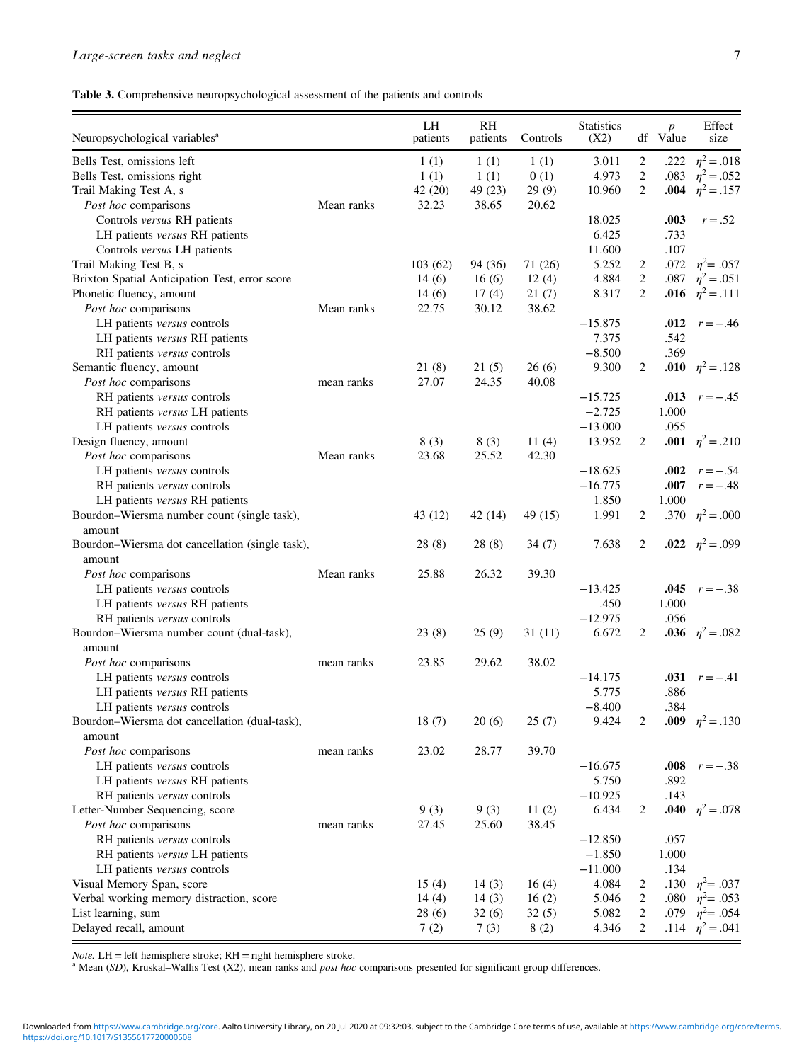<span id="page-7-0"></span>

| Neuropsychological variables <sup>a</sup>                     |            | LH<br>patients | <b>RH</b><br>patients | Controls | Statistics<br>(X2) | df             | $\boldsymbol{p}$<br>Value | Effect<br>size              |
|---------------------------------------------------------------|------------|----------------|-----------------------|----------|--------------------|----------------|---------------------------|-----------------------------|
| Bells Test, omissions left                                    |            | 1(1)           | 1(1)                  | 1(1)     | 3.011              | $\overline{c}$ |                           | .222 $\eta^2 = .018$        |
| Bells Test, omissions right                                   |            | 1(1)           | 1(1)                  | 0(1)     | 4.973              | $\sqrt{2}$     |                           | .083 $\eta^2 = .052$        |
| Trail Making Test A, s                                        |            | 42 (20)        | 49 (23)               | 29(9)    | 10.960             | 2              |                           | .004 $\eta^2 = .157$        |
| Post hoc comparisons                                          | Mean ranks | 32.23          | 38.65                 | 20.62    |                    |                |                           |                             |
| Controls versus RH patients                                   |            |                |                       |          | 18.025             |                | .003                      | $r = .52$                   |
| LH patients versus RH patients                                |            |                |                       |          | 6.425              |                | .733                      |                             |
| Controls versus LH patients                                   |            |                |                       |          | 11.600             |                | .107                      |                             |
| Trail Making Test B, s                                        |            | 103(62)        | 94 (36)               | 71 (26)  | 5.252              | 2              |                           | .072 $\eta^2$ = .057        |
| Brixton Spatial Anticipation Test, error score                |            | 14(6)          | 16(6)                 | 12(4)    | 4.884              | $\sqrt{2}$     |                           | .087 $\eta^2 = .051$        |
| Phonetic fluency, amount                                      |            | 14(6)          | 17(4)                 | 21(7)    | 8.317              | 2              |                           | .016 $\eta^2 = .111$        |
| Post hoc comparisons                                          | Mean ranks | 22.75          | 30.12                 | 38.62    |                    |                |                           |                             |
| LH patients versus controls<br>LH patients versus RH patients |            |                |                       |          | $-15.875$<br>7.375 |                | .012<br>.542              | $r = -.46$                  |
| RH patients versus controls                                   |            |                |                       |          | $-8.500$           |                | .369                      |                             |
| Semantic fluency, amount                                      |            | 21(8)          |                       | 26(6)    | 9.300              | 2              |                           | .010 $\eta^2 = .128$        |
| Post hoc comparisons                                          | mean ranks | 27.07          | 21(5)<br>24.35        | 40.08    |                    |                |                           |                             |
| RH patients versus controls                                   |            |                |                       |          | $-15.725$          |                | .013                      | $r = -.45$                  |
| RH patients versus LH patients                                |            |                |                       |          | $-2.725$           |                | 1.000                     |                             |
| LH patients versus controls                                   |            |                |                       |          | $-13.000$          |                | .055                      |                             |
| Design fluency, amount                                        |            | 8(3)           | 8(3)                  | 11(4)    | 13.952             | 2              |                           | .001 $\eta^2 = .210$        |
| Post hoc comparisons                                          | Mean ranks | 23.68          | 25.52                 | 42.30    |                    |                |                           |                             |
| LH patients versus controls                                   |            |                |                       |          | $-18.625$          |                | .002                      | $r = -.54$                  |
| RH patients versus controls                                   |            |                |                       |          | $-16.775$          |                | .007                      | $r = -.48$                  |
| LH patients versus RH patients                                |            |                |                       |          | 1.850              |                | 1.000                     |                             |
| Bourdon-Wiersma number count (single task),                   |            | 43 (12)        | 42(14)                | 49 (15)  | 1.991              | 2              |                           | .370 $\eta^2 = .000$        |
| amount                                                        |            |                |                       |          |                    |                |                           |                             |
| Bourdon-Wiersma dot cancellation (single task),               |            | 28(8)          | 28(8)                 | 34(7)    | 7.638              | 2              |                           | .022 $\eta^2 = .099$        |
| amount                                                        |            |                |                       |          |                    |                |                           |                             |
| Post hoc comparisons                                          | Mean ranks | 25.88          | 26.32                 | 39.30    |                    |                |                           |                             |
| LH patients versus controls                                   |            |                |                       |          | $-13.425$          |                | .045                      | $r = -.38$                  |
| LH patients versus RH patients                                |            |                |                       |          | .450               |                | 1.000                     |                             |
| RH patients versus controls                                   |            |                |                       |          | $-12.975$          |                | .056                      |                             |
| Bourdon-Wiersma number count (dual-task),                     |            | 23(8)          | 25(9)                 | 31(11)   | 6.672              | 2              |                           | .036 $\eta^2 = .082$        |
| amount                                                        |            |                |                       |          |                    |                |                           |                             |
| Post hoc comparisons                                          | mean ranks | 23.85          | 29.62                 | 38.02    |                    |                |                           |                             |
| LH patients versus controls                                   |            |                |                       |          | $-14.175$          |                | .031                      | $r = -.41$                  |
| LH patients versus RH patients                                |            |                |                       |          | 5.775              |                | .886                      |                             |
| LH patients versus controls                                   |            |                |                       |          | $-8.400$           |                | .384                      |                             |
| Bourdon–Wiersma dot cancellation (dual-task),                 |            | 18(7)          | 20(6)                 | 25(7)    | 9.424              | 2              |                           | .009 $\eta^2 = .130$        |
| amount                                                        |            |                |                       |          |                    |                |                           |                             |
| Post hoc comparisons                                          | mean ranks | 23.02          | 28.77                 | 39.70    |                    |                |                           |                             |
| LH patients versus controls                                   |            |                |                       |          | $-16.675$          |                | .008                      | $r = -.38$                  |
| LH patients versus RH patients                                |            |                |                       |          | 5.750              |                | .892                      |                             |
| RH patients versus controls                                   |            |                |                       |          | $-10.925$          |                | .143                      |                             |
| Letter-Number Sequencing, score                               |            | 9(3)           | 9(3)                  | 11(2)    | 6.434              | 2              |                           | <b>.040</b> $\eta^2 = .078$ |
| Post hoc comparisons                                          | mean ranks | 27.45          | 25.60                 | 38.45    |                    |                |                           |                             |
| RH patients versus controls                                   |            |                |                       |          | $-12.850$          |                | .057                      |                             |
| RH patients versus LH patients                                |            |                |                       |          | $-1.850$           |                | 1.000                     |                             |
| LH patients versus controls                                   |            |                |                       |          | $-11.000$          |                | .134                      |                             |
| Visual Memory Span, score                                     |            | 15(4)          | 14(3)                 | 16(4)    | 4.084              | 2              | .130                      | $\eta^2 = .037$             |
| Verbal working memory distraction, score                      |            | 14(4)          | 14(3)                 | 16(2)    | 5.046              | 2              |                           | .080 $\eta^2 = .053$        |
| List learning, sum                                            |            | 28(6)          | 32(6)                 | 32(5)    | 5.082              | 2              | .079                      | $\eta^2 = .054$             |
| Delayed recall, amount                                        |            | 7(2)           | 7(3)                  | 8(2)     | 4.346              | 2              |                           | .114 $\eta^2 = .041$        |

*Note.* LH = left hemisphere stroke; RH = right hemisphere stroke.<br><sup>a</sup> Mean (SD), Kruskal–Wallis Test (X2), mean ranks and *post hoc* comparisons presented for significant group differences.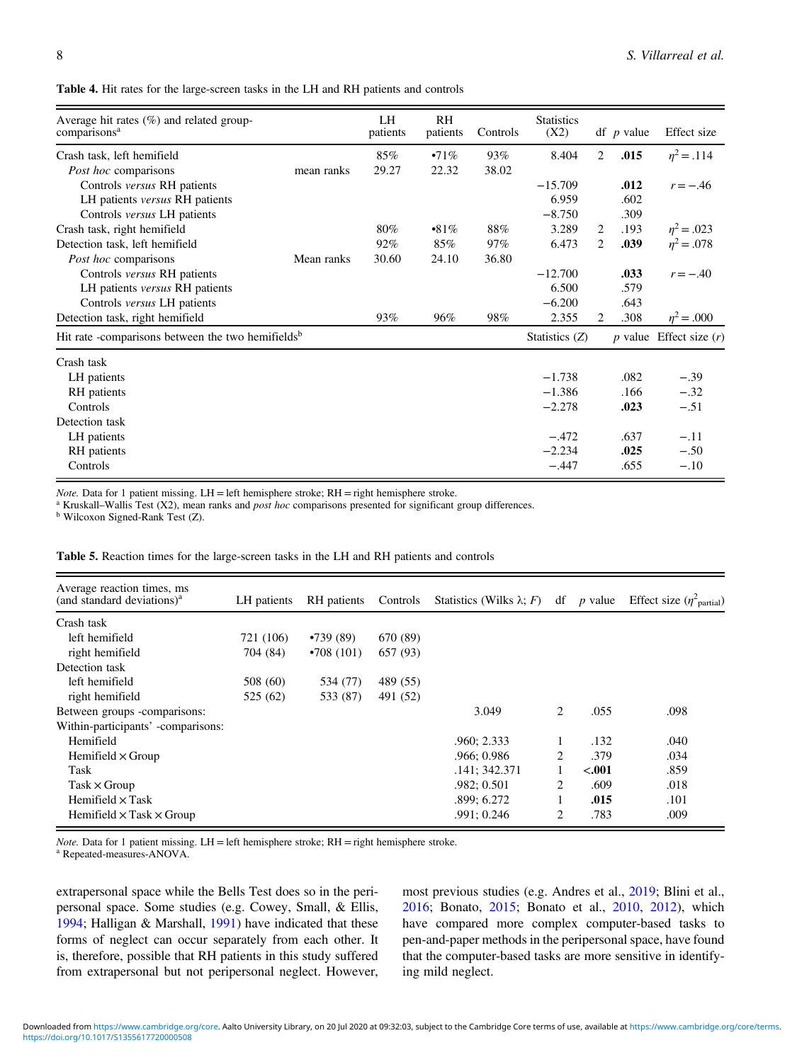<span id="page-8-0"></span>Table 4. Hit rates for the large-screen tasks in the LH and RH patients and controls

| Average hit rates $(\%)$ and related group-<br>comparisons <sup>a</sup> |            | LH<br>patients | R <sub>H</sub><br>patients | Controls | <b>Statistics</b><br>(X2) |   | df $p$ value | Effect size               |
|-------------------------------------------------------------------------|------------|----------------|----------------------------|----------|---------------------------|---|--------------|---------------------------|
| Crash task, left hemifield                                              |            | 85%            | $\cdot 71\%$               | 93%      | 8.404                     | 2 | .015         | $n^2 = .114$              |
| <i>Post hoc</i> comparisons                                             | mean ranks | 29.27          | 22.32                      | 38.02    |                           |   |              |                           |
| Controls versus RH patients                                             |            |                |                            |          | $-15.709$                 |   | .012         | $r = -.46$                |
| LH patients versus RH patients                                          |            |                |                            |          | 6.959                     |   | .602         |                           |
| Controls versus LH patients                                             |            |                |                            |          | $-8.750$                  |   | .309         |                           |
| Crash task, right hemifield                                             |            | 80%            | •81%                       | 88%      | 3.289                     | 2 | .193         | $\eta^2 = .023$           |
| Detection task, left hemifield                                          |            | 92%            | 85%                        | 97%      | 6.473                     | 2 | .039         | $n^2 = .078$              |
| <i>Post hoc</i> comparisons                                             | Mean ranks | 30.60          | 24.10                      | 36.80    |                           |   |              |                           |
| Controls versus RH patients                                             |            |                |                            |          | $-12.700$                 |   | .033         | $r = -.40$                |
| LH patients versus RH patients                                          |            |                |                            |          | 6.500                     |   | .579         |                           |
| Controls versus LH patients                                             |            |                |                            |          | $-6.200$                  |   | .643         |                           |
| Detection task, right hemifield                                         |            | 93%            | 96%                        | 98%      | 2.355                     | 2 | .308         | $\eta^2 = .000$           |
| Hit rate -comparisons between the two hemifields <sup>b</sup>           |            |                |                            |          | Statistics $(Z)$          |   |              | p value Effect size $(r)$ |
| Crash task                                                              |            |                |                            |          |                           |   |              |                           |
| LH patients                                                             |            |                |                            |          | $-1.738$                  |   | .082         | $-.39$                    |
| RH patients                                                             |            |                |                            |          | $-1.386$                  |   | .166         | $-.32$                    |
| Controls                                                                |            |                |                            |          | $-2.278$                  |   | .023         | $-.51$                    |
| Detection task                                                          |            |                |                            |          |                           |   |              |                           |
| LH patients                                                             |            |                |                            |          | $-.472$                   |   | .637         | $-.11$                    |
| RH patients                                                             |            |                |                            |          | $-2.234$                  |   | .025         | $-.50$                    |
| Controls                                                                |            |                |                            |          | $-.447$                   |   | .655         | $-.10$                    |

*Note.* Data for 1 patient missing. LH = left hemisphere stroke; RH = right hemisphere stroke.<br><sup>a</sup> Kruskall–Wallis Test (X2), mean ranks and *post hoc* comparisons presented for significant group differences.<br><sup>b</sup> Wilcoxon

| Average reaction times, ms<br>(and standard deviations) <sup>a</sup> | LH patients | RH patients | Controls | Statistics (Wilks $\lambda$ ; F) | df             | <i>p</i> value | Effect size $(\eta^2$ <sub>partial</sub> ) |  |
|----------------------------------------------------------------------|-------------|-------------|----------|----------------------------------|----------------|----------------|--------------------------------------------|--|
| Crash task                                                           |             |             |          |                                  |                |                |                                            |  |
| left hemifield                                                       | 721 (106)   | •739(89)    | 670 (89) |                                  |                |                |                                            |  |
| right hemifield                                                      | 704 (84)    | •708(101)   | 657 (93) |                                  |                |                |                                            |  |
| Detection task                                                       |             |             |          |                                  |                |                |                                            |  |
| left hemifield                                                       | 508 (60)    | 534 (77)    | 489 (55) |                                  |                |                |                                            |  |
| right hemifield                                                      | 525 (62)    | 533 (87)    | 491 (52) |                                  |                |                |                                            |  |
| Between groups -comparisons:                                         |             |             |          | 3.049                            | 2              | .055           | .098                                       |  |
| Within-participants' -comparisons:                                   |             |             |          |                                  |                |                |                                            |  |
| Hemifield                                                            |             |             |          | .960; 2.333                      |                | .132           | .040                                       |  |
| Hemifield $\times$ Group                                             |             |             |          | .966: 0.986                      | 2              | .379           | .034                                       |  |
| Task                                                                 |             |             |          | .141; 342.371                    |                | < .001         | .859                                       |  |
| $Task \times Group$                                                  |             |             |          | .982: 0.501                      | 2              | .609           | .018                                       |  |
| Hemifield $\times$ Task                                              |             |             |          | .899: 6.272                      |                | .015           | .101                                       |  |
| Hemifield $\times$ Task $\times$ Group                               |             |             |          | .991; 0.246                      | $\overline{c}$ | .783           | .009                                       |  |

*Note.* Data for 1 patient missing. LH = left hemisphere stroke;  $RH =$  right hemisphere stroke.  $a$  Repeated-measures-ANOVA.

extrapersonal space while the Bells Test does so in the peripersonal space. Some studies (e.g. Cowey, Small, & Ellis, [1994](#page-11-0); Halligan & Marshall, [1991](#page-11-0)) have indicated that these forms of neglect can occur separately from each other. It is, therefore, possible that RH patients in this study suffered from extrapersonal but not peripersonal neglect. However,

most previous studies (e.g. Andres et al., [2019;](#page-11-0) Blini et al., [2016](#page-11-0); Bonato, [2015;](#page-11-0) Bonato et al., [2010,](#page-11-0) [2012\)](#page-11-0), which have compared more complex computer-based tasks to pen-and-paper methods in the peripersonal space, have found that the computer-based tasks are more sensitive in identifying mild neglect.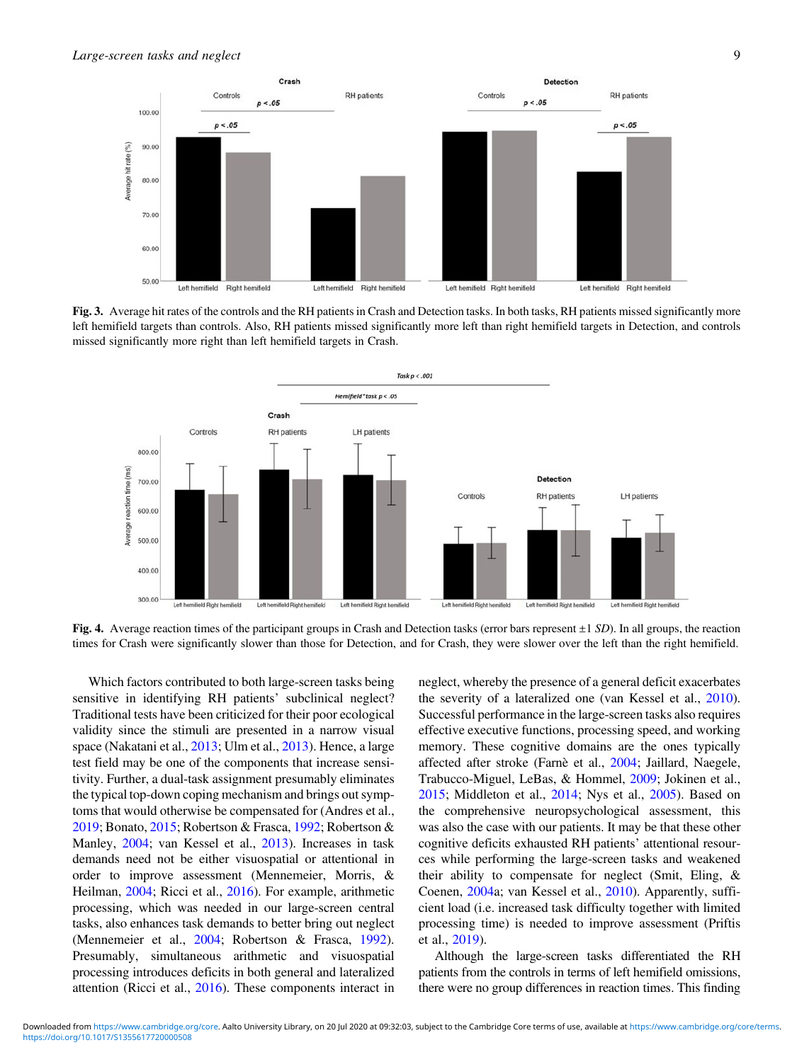<span id="page-9-0"></span>

Fig. 3. Average hit rates of the controls and the RH patients in Crash and Detection tasks. In both tasks, RH patients missed significantly more left hemifield targets than controls. Also, RH patients missed significantly more left than right hemifield targets in Detection, and controls missed significantly more right than left hemifield targets in Crash.



Fig. 4. Average reaction times of the participant groups in Crash and Detection tasks (error bars represent  $\pm 1$  SD). In all groups, the reaction times for Crash were significantly slower than those for Detection, and for Crash, they were slower over the left than the right hemifield.

Which factors contributed to both large-screen tasks being sensitive in identifying RH patients' subclinical neglect? Traditional tests have been criticized for their poor ecological validity since the stimuli are presented in a narrow visual space (Nakatani et al., [2013](#page-12-0); Ulm et al., [2013](#page-13-0)). Hence, a large test field may be one of the components that increase sensitivity. Further, a dual-task assignment presumably eliminates the typical top-down coping mechanism and brings out symptoms that would otherwise be compensated for (Andres et al., [2019](#page-11-0); Bonato, [2015;](#page-11-0) Robertson & Frasca, [1992;](#page-12-0) Robertson & Manley, [2004](#page-12-0); van Kessel et al., [2013](#page-13-0)). Increases in task demands need not be either visuospatial or attentional in order to improve assessment (Mennemeier, Morris, & Heilman, [2004;](#page-12-0) Ricci et al., [2016](#page-12-0)). For example, arithmetic processing, which was needed in our large-screen central tasks, also enhances task demands to better bring out neglect (Mennemeier et al., [2004;](#page-12-0) Robertson & Frasca, [1992](#page-12-0)). Presumably, simultaneous arithmetic and visuospatial processing introduces deficits in both general and lateralized attention (Ricci et al., [2016\)](#page-12-0). These components interact in

neglect, whereby the presence of a general deficit exacerbates the severity of a lateralized one (van Kessel et al., [2010](#page-13-0)). Successful performance in the large-screen tasks also requires effective executive functions, processing speed, and working memory. These cognitive domains are the ones typically affected after stroke (Farnè et al., [2004;](#page-11-0) Jaillard, Naegele, Trabucco-Miguel, LeBas, & Hommel, [2009](#page-12-0); Jokinen et al., [2015;](#page-12-0) Middleton et al., [2014;](#page-12-0) Nys et al., [2005](#page-12-0)). Based on the comprehensive neuropsychological assessment, this was also the case with our patients. It may be that these other cognitive deficits exhausted RH patients' attentional resources while performing the large-screen tasks and weakened their ability to compensate for neglect (Smit, Eling, & Coenen, [2004](#page-13-0)a; van Kessel et al., [2010](#page-13-0)). Apparently, sufficient load (i.e. increased task difficulty together with limited processing time) is needed to improve assessment (Priftis et al., [2019](#page-12-0)).

Although the large-screen tasks differentiated the RH patients from the controls in terms of left hemifield omissions, there were no group differences in reaction times. This finding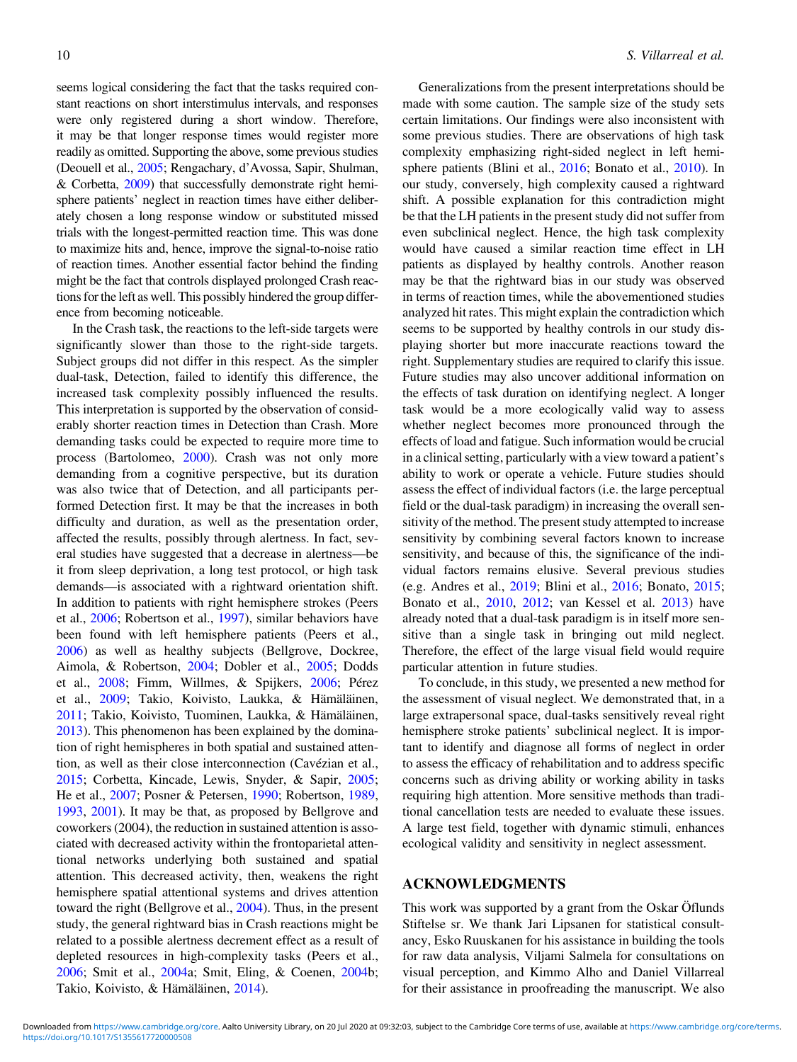seems logical considering the fact that the tasks required constant reactions on short interstimulus intervals, and responses were only registered during a short window. Therefore, it may be that longer response times would register more readily as omitted. Supporting the above, some previous studies (Deouell et al., [2005;](#page-11-0) Rengachary, d'Avossa, Sapir, Shulman, & Corbetta, [2009\)](#page-12-0) that successfully demonstrate right hemisphere patients' neglect in reaction times have either deliberately chosen a long response window or substituted missed trials with the longest-permitted reaction time. This was done to maximize hits and, hence, improve the signal-to-noise ratio of reaction times. Another essential factor behind the finding might be the fact that controls displayed prolonged Crash reactions for the left as well. This possibly hindered the group difference from becoming noticeable.

In the Crash task, the reactions to the left-side targets were significantly slower than those to the right-side targets. Subject groups did not differ in this respect. As the simpler dual-task, Detection, failed to identify this difference, the increased task complexity possibly influenced the results. This interpretation is supported by the observation of considerably shorter reaction times in Detection than Crash. More demanding tasks could be expected to require more time to process (Bartolomeo, [2000](#page-11-0)). Crash was not only more demanding from a cognitive perspective, but its duration was also twice that of Detection, and all participants performed Detection first. It may be that the increases in both difficulty and duration, as well as the presentation order, affected the results, possibly through alertness. In fact, sev-<br>eral studies have suggested that a decrease in alertness—be<br>it from sleep deprivation, a long test protocol, or high task<br>demands—is associated with a rightwa was also twice that of Detection, and an participants per-<br>formed Detection first. It may be that the increases in both<br>difficulty and duration, as well as the presentation order,<br>affected the results, possibly through ale it from sleep deprivation, a long test protocol, or high task In addition to patients with right hemisphere strokes (Peers et al., [2006](#page-12-0); Robertson et al., [1997](#page-12-0)), similar behaviors have been found with left hemisphere patients (Peers et al., [2006](#page-12-0)) as well as healthy subjects (Bellgrove, Dockree, Aimola, & Robertson, [2004;](#page-11-0) Dobler et al., [2005](#page-11-0); Dodds et al., [2008](#page-11-0); Fimm, Willmes, & Spijkers, [2006](#page-11-0); Pérez et al., [2009](#page-12-0); Takio, Koivisto, Laukka, & Hämäläinen, [2011](#page-13-0); Takio, Koivisto, Tuominen, Laukka, & Hämäläinen, [2013](#page-13-0)). This phenomenon has been explained by the domination of right hemispheres in both spatial and sustained attention, as well as their close interconnection (Cavézian et al., [2015](#page-11-0); Corbetta, Kincade, Lewis, Snyder, & Sapir, [2005](#page-11-0); He et al., [2007;](#page-11-0) Posner & Petersen, [1990](#page-12-0); Robertson, [1989](#page-12-0), [1993](#page-12-0), [2001\)](#page-12-0). It may be that, as proposed by Bellgrove and coworkers (2004), the reduction in sustained attention is associated with decreased activity within the frontoparietal attentional networks underlying both sustained and spatial attention. This decreased activity, then, weakens the right hemisphere spatial attentional systems and drives attention toward the right (Bellgrove et al., [2004\)](#page-11-0). Thus, in the present study, the general rightward bias in Crash reactions might be related to a possible alertness decrement effect as a result of depleted resources in high-complexity tasks (Peers et al., [2006](#page-12-0); Smit et al., [2004a](#page-13-0); Smit, Eling, & Coenen, [2004](#page-13-0)b; Takio, Koivisto, & Hämäläinen, [2014](#page-13-0)).

Generalizations from the present interpretations should be made with some caution. The sample size of the study sets certain limitations. Our findings were also inconsistent with some previous studies. There are observations of high task complexity emphasizing right-sided neglect in left hemisphere patients (Blini et al., [2016](#page-11-0); Bonato et al., [2010](#page-11-0)). In our study, conversely, high complexity caused a rightward shift. A possible explanation for this contradiction might be that the LH patients in the present study did not suffer from even subclinical neglect. Hence, the high task complexity would have caused a similar reaction time effect in LH patients as displayed by healthy controls. Another reason may be that the rightward bias in our study was observed in terms of reaction times, while the abovementioned studies analyzed hit rates. This might explain the contradiction which seems to be supported by healthy controls in our study displaying shorter but more inaccurate reactions toward the right. Supplementary studies are required to clarify this issue. Future studies may also uncover additional information on the effects of task duration on identifying neglect. A longer task would be a more ecologically valid way to assess whether neglect becomes more pronounced through the effects of load and fatigue. Such information would be crucial in a clinical setting, particularly with a view toward a patient's ability to work or operate a vehicle. Future studies should assess the effect of individual factors (i.e. the large perceptual field or the dual-task paradigm) in increasing the overall sensitivity of the method. The present study attempted to increase sensitivity by combining several factors known to increase sensitivity, and because of this, the significance of the individual factors remains elusive. Several previous studies (e.g. Andres et al., [2019;](#page-11-0) Blini et al., [2016](#page-11-0); Bonato, [2015](#page-11-0); Bonato et al., [2010](#page-11-0), [2012](#page-11-0); van Kessel et al. [2013](#page-13-0)) have already noted that a dual-task paradigm is in itself more sensitive than a single task in bringing out mild neglect. Therefore, the effect of the large visual field would require particular attention in future studies.

To conclude, in this study, we presented a new method for the assessment of visual neglect. We demonstrated that, in a large extrapersonal space, dual-tasks sensitively reveal right hemisphere stroke patients' subclinical neglect. It is important to identify and diagnose all forms of neglect in order to assess the efficacy of rehabilitation and to address specific concerns such as driving ability or working ability in tasks requiring high attention. More sensitive methods than traditional cancellation tests are needed to evaluate these issues. A large test field, together with dynamic stimuli, enhances ecological validity and sensitivity in neglect assessment.

## ACKNOWLEDGMENTS

This work was supported by a grant from the Oskar Öflunds Stiftelse sr. We thank Jari Lipsanen for statistical consultancy, Esko Ruuskanen for his assistance in building the tools for raw data analysis, Viljami Salmela for consultations on visual perception, and Kimmo Alho and Daniel Villarreal for their assistance in proofreading the manuscript. We also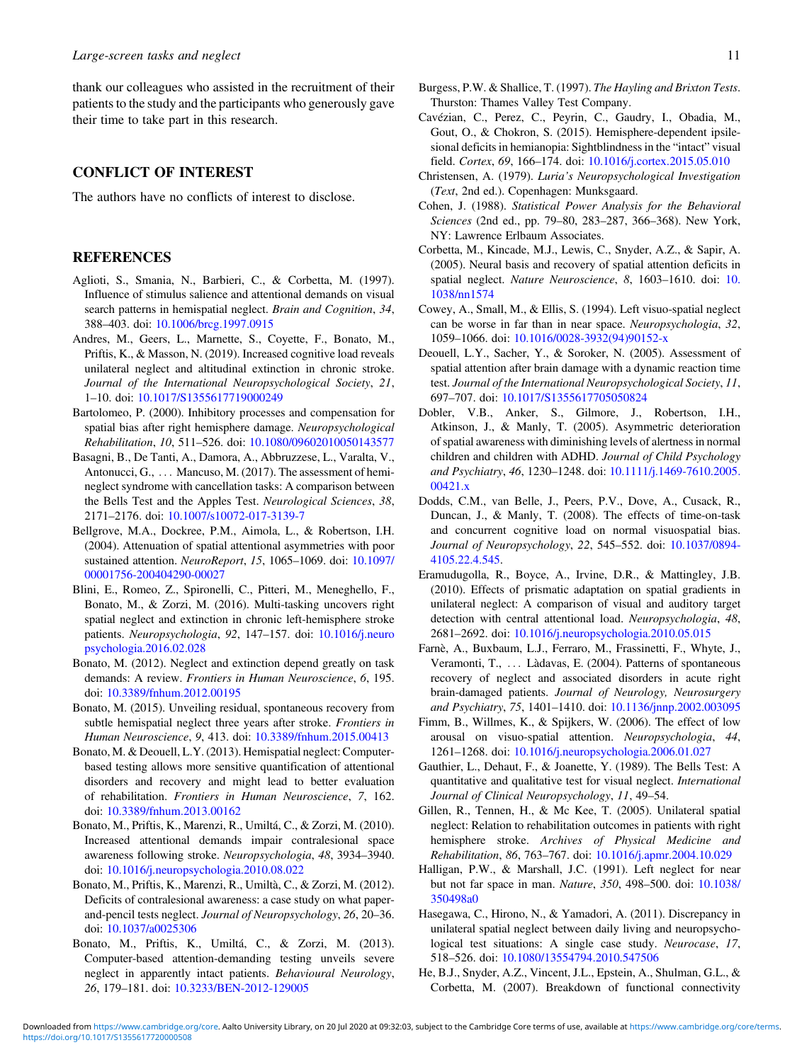<span id="page-11-0"></span>thank our colleagues who assisted in the recruitment of their patients to the study and the participants who generously gave their time to take part in this research.

## CONFLICT OF INTEREST

The authors have no conflicts of interest to disclose.

## REFERENCES

- Aglioti, S., Smania, N., Barbieri, C., & Corbetta, M. (1997). Influence of stimulus salience and attentional demands on visual search patterns in hemispatial neglect. Brain and Cognition, 34, 388–403. doi: [10.1006/brcg.1997.0915](https://doi.org/10.1006/brcg.1997.0915)
- Andres, M., Geers, L., Marnette, S., Coyette, F., Bonato, M., Priftis, K., & Masson, N. (2019). Increased cognitive load reveals unilateral neglect and altitudinal extinction in chronic stroke. Journal of the International Neuropsychological Society, 21, 1–10. doi: [10.1017/S1355617719000249](https://doi.org/10.1017/S1355617719000249)
- Bartolomeo, P. (2000). Inhibitory processes and compensation for spatial bias after right hemisphere damage. Neuropsychological Rehabilitation, 10, 511–526. doi: [10.1080/09602010050143577](https://doi.org/10.1080/09602010050143577)
- Basagni, B., De Tanti, A., Damora, A., Abbruzzese, L., Varalta, V., Antonucci, G., ... Mancuso, M. (2017). The assessment of hemineglect syndrome with cancellation tasks: A comparison between the Bells Test and the Apples Test. Neurological Sciences, 38, 2171–2176. doi: [10.1007/s10072-017-3139-7](https://doi.org/10.1007/s10072-017-3139-7)
- Bellgrove, M.A., Dockree, P.M., Aimola, L., & Robertson, I.H. (2004). Attenuation of spatial attentional asymmetries with poor sustained attention. NeuroReport, 15, 1065-1069. doi: [10.1097/](https://doi.org/10.1097/00001756-200404290-00027) [00001756-200404290-00027](https://doi.org/10.1097/00001756-200404290-00027)
- Blini, E., Romeo, Z., Spironelli, C., Pitteri, M., Meneghello, F., Bonato, M., & Zorzi, M. (2016). Multi-tasking uncovers right spatial neglect and extinction in chronic left-hemisphere stroke patients. Neuropsychologia, 92, 147–157. doi: [10.1016/j.neuro](https://doi.org/10.1016/j.neuropsychologia.2016.02.028) [psychologia.2016.02.028](https://doi.org/10.1016/j.neuropsychologia.2016.02.028)
- Bonato, M. (2012). Neglect and extinction depend greatly on task demands: A review. Frontiers in Human Neuroscience, 6, 195. doi: [10.3389/fnhum.2012.00195](https://doi.org/10.3389/fnhum.2012.00195)
- Bonato, M. (2015). Unveiling residual, spontaneous recovery from subtle hemispatial neglect three years after stroke. Frontiers in Human Neuroscience, 9, 413. doi: [10.3389/fnhum.2015.00413](https://doi.org/10.3389/fnhum.2015.00413)
- Bonato, M. & Deouell, L.Y. (2013). Hemispatial neglect: Computerbased testing allows more sensitive quantification of attentional disorders and recovery and might lead to better evaluation of rehabilitation. Frontiers in Human Neuroscience, 7, 162. doi: [10.3389/fnhum.2013.00162](https://doi.org/10.3389/fnhum.2013.00162)
- Bonato, M., Priftis, K., Marenzi, R., Umiltá, C., & Zorzi, M. (2010). Increased attentional demands impair contralesional space awareness following stroke. Neuropsychologia, 48, 3934–3940. doi: [10.1016/j.neuropsychologia.2010.08.022](https://doi.org/10.1016/j.neuropsychologia.2010.08.022)
- Bonato, M., Priftis, K., Marenzi, R., Umiltà, C., & Zorzi, M. (2012). Deficits of contralesional awareness: a case study on what paperand-pencil tests neglect. Journal of Neuropsychology, 26, 20–36. doi: [10.1037/a0025306](https://doi.org/10.1037/a0025306)
- Bonato, M., Priftis, K., Umiltá, C., & Zorzi, M. (2013). Computer-based attention-demanding testing unveils severe neglect in apparently intact patients. Behavioural Neurology, 26, 179–181. doi: [10.3233/BEN-2012-129005](https://doi.org/10.3233/BEN-2012-129005)
- Burgess, P.W. & Shallice, T. (1997). The Hayling and Brixton Tests. Thurston: Thames Valley Test Company.
- Cavézian, C., Perez, C., Peyrin, C., Gaudry, I., Obadia, M., Gout, O., & Chokron, S. (2015). Hemisphere-dependent ipsilesional deficits in hemianopia: Sightblindness in the "intact" visual field. Cortex, 69, 166–174. doi: [10.1016/j.cortex.2015.05.010](https://doi.org/10.1016/j.cortex.2015.05.010)
- Christensen, A. (1979). Luria's Neuropsychological Investigation (Text, 2nd ed.). Copenhagen: Munksgaard.
- Cohen, J. (1988). Statistical Power Analysis for the Behavioral Sciences (2nd ed., pp. 79–80, 283–287, 366–368). New York, NY: Lawrence Erlbaum Associates.
- Corbetta, M., Kincade, M.J., Lewis, C., Snyder, A.Z., & Sapir, A. (2005). Neural basis and recovery of spatial attention deficits in spatial neglect. Nature Neuroscience, 8, 1603-16[10.](https://doi.org/10.1038/nn1574) doi: 10. [1038/nn1574](https://doi.org/10.1038/nn1574)
- Cowey, A., Small, M., & Ellis, S. (1994). Left visuo-spatial neglect can be worse in far than in near space. Neuropsychologia, 32, 1059–1066. doi: [10.1016/0028-3932\(94\)90152-x](https://doi.org/10.1016/0028-3932(94)90152-x)
- Deouell, L.Y., Sacher, Y., & Soroker, N. (2005). Assessment of spatial attention after brain damage with a dynamic reaction time test. Journal of the International Neuropsychological Society, 11, 697–707. doi: [10.1017/S1355617705050824](https://doi.org/10.1017/S1355617705050824)
- Dobler, V.B., Anker, S., Gilmore, J., Robertson, I.H., Atkinson, J., & Manly, T. (2005). Asymmetric deterioration of spatial awareness with diminishing levels of alertness in normal children and children with ADHD. Journal of Child Psychology and Psychiatry, 46, 1230–1248. doi: [10.1111/j.1469-7610.2005.](https://doi.org/10.1111/j.1469-7610.2005.00421.x) [00421.x](https://doi.org/10.1111/j.1469-7610.2005.00421.x)
- Dodds, C.M., van Belle, J., Peers, P.V., Dove, A., Cusack, R., Duncan, J., & Manly, T. (2008). The effects of time-on-task and concurrent cognitive load on normal visuospatial bias. Journal of Neuropsychology, 22, 545–552. doi: [10.1037/0894-](https://doi.org/10.1037/0894-4105.22.4.545) [4105.22.4.545.](https://doi.org/10.1037/0894-4105.22.4.545)
- Eramudugolla, R., Boyce, A., Irvine, D.R., & Mattingley, J.B. (2010). Effects of prismatic adaptation on spatial gradients in unilateral neglect: A comparison of visual and auditory target detection with central attentional load. Neuropsychologia, 48, 2681–2692. doi: [10.1016/j.neuropsychologia.2010.05.015](https://doi.org/10.1016/j.neuropsychologia.2010.05.015)
- Farnè, A., Buxbaum, L.J., Ferraro, M., Frassinetti, F., Whyte, J., Veramonti, T., ... Làdavas, E. (2004). Patterns of spontaneous recovery of neglect and associated disorders in acute right brain-damaged patients. Journal of Neurology, Neurosurgery and Psychiatry, 75, 1401–1410. doi: [10.1136/jnnp.2002.003095](https://doi.org/10.1136/jnnp.2002.003095)
- Fimm, B., Willmes, K., & Spijkers, W. (2006). The effect of low arousal on visuo-spatial attention. Neuropsychologia, 44, 1261–1268. doi: [10.1016/j.neuropsychologia.2006.01.027](https://doi.org/10.1016/j.neuropsychologia.2006.01.027)
- Gauthier, L., Dehaut, F., & Joanette, Y. (1989). The Bells Test: A quantitative and qualitative test for visual neglect. International Journal of Clinical Neuropsychology, 11, 49–54.
- Gillen, R., Tennen, H., & Mc Kee, T. (2005). Unilateral spatial neglect: Relation to rehabilitation outcomes in patients with right hemisphere stroke. Archives of Physical Medicine and Rehabilitation, 86, 763–767. doi: [10.1016/j.apmr.2004.10.029](https://doi.org/10.1016/j.apmr.2004.10.029)
- Halligan, P.W., & Marshall, J.C. (1991). Left neglect for near but not far space in man. Nature, 350, 498–500. doi: [10.1038/](https://doi.org/10.1038/350498a0) [350498a0](https://doi.org/10.1038/350498a0)
- Hasegawa, C., Hirono, N., & Yamadori, A. (2011). Discrepancy in unilateral spatial neglect between daily living and neuropsychological test situations: A single case study. Neurocase, 17, 518–526. doi: [10.1080/13554794.2010.547506](https://doi.org/10.1080/13554794.2010.547506)
- He, B.J., Snyder, A.Z., Vincent, J.L., Epstein, A., Shulman, G.L., & Corbetta, M. (2007). Breakdown of functional connectivity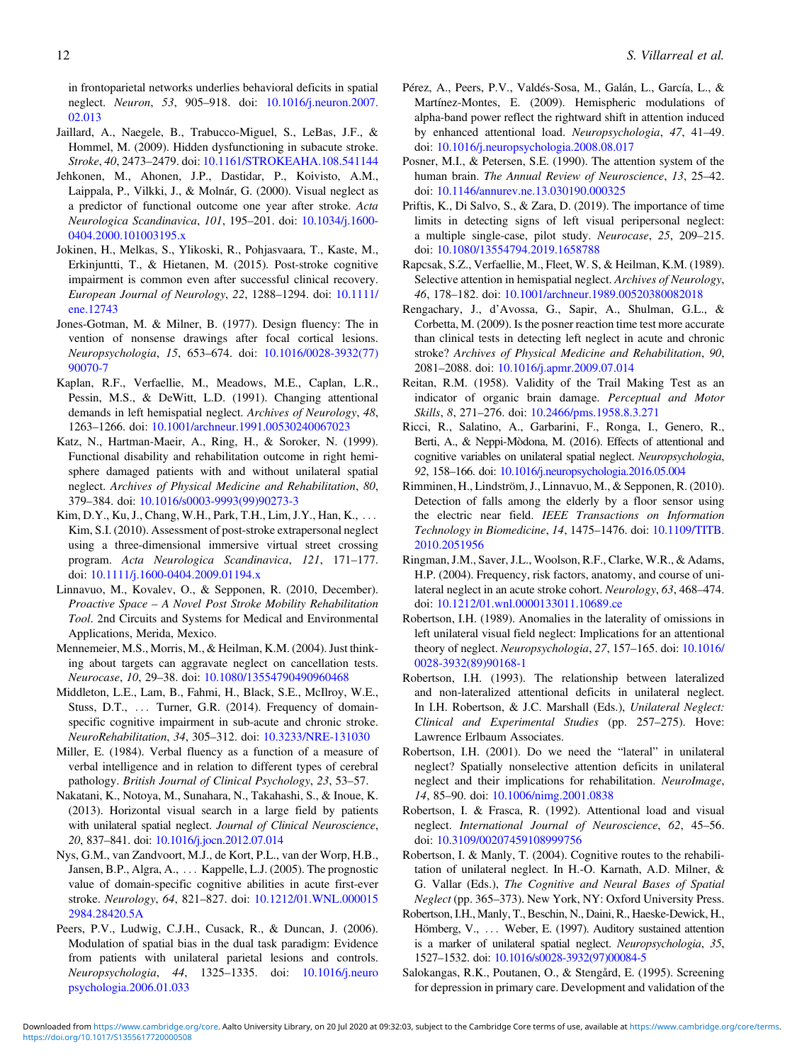<span id="page-12-0"></span>in frontoparietal networks underlies behavioral deficits in spatial neglect. Neuron, 53, 905–918. doi: [10.1016/j.neuron.2007.](https://doi.org/10.1016/j.neuron.2007.02.013) [02.013](https://doi.org/10.1016/j.neuron.2007.02.013)

- Jaillard, A., Naegele, B., Trabucco-Miguel, S., LeBas, J.F., & Hommel, M. (2009). Hidden dysfunctioning in subacute stroke. Stroke, 40, 2473–2479. doi: [10.1161/STROKEAHA.108.541144](https://doi.org/10.1161/STROKEAHA.108.541144)
- Jehkonen, M., Ahonen, J.P., Dastidar, P., Koivisto, A.M., Laippala, P., Vilkki, J., & Molnár, G. (2000). Visual neglect as a predictor of functional outcome one year after stroke. Acta Neurologica Scandinavica, 101, 195–201. doi: [10.1034/j.1600-](https://doi.org/10.1034/j.1600-0404.2000.101003195.x) [0404.2000.101003195.x](https://doi.org/10.1034/j.1600-0404.2000.101003195.x)
- Jokinen, H., Melkas, S., Ylikoski, R., Pohjasvaara, T., Kaste, M., Erkinjuntti, T., & Hietanen, M. (2015). Post-stroke cognitive impairment is common even after successful clinical recovery. European Journal of Neurology, 22, 1288–1294. doi: [10.1111/](https://doi.org/10.1111/ene.12743) [ene.12743](https://doi.org/10.1111/ene.12743)
- Jones-Gotman, M. & Milner, B. (1977). Design fluency: The in vention of nonsense drawings after focal cortical lesions. Neuropsychologia, 15, 653–674. doi: [10.1016/0028-3932\(77\)](https://doi.org/10.1016/0028-3932(77)90070-7) [90070-7](https://doi.org/10.1016/0028-3932(77)90070-7)
- Kaplan, R.F., Verfaellie, M., Meadows, M.E., Caplan, L.R., Pessin, M.S., & DeWitt, L.D. (1991). Changing attentional demands in left hemispatial neglect. Archives of Neurology, 48, 1263–1266. doi: [10.1001/archneur.1991.00530240067023](https://doi.org/10.1001/archneur.1991.00530240067023)
- Katz, N., Hartman-Maeir, A., Ring, H., & Soroker, N. (1999). Functional disability and rehabilitation outcome in right hemisphere damaged patients with and without unilateral spatial neglect. Archives of Physical Medicine and Rehabilitation, 80, 379–384. doi: [10.1016/s0003-9993\(99\)90273-3](https://doi.org/10.1016/s0003-9993(99)90273-3)
- Kim, D.Y., Ku, J., Chang, W.H., Park, T.H., Lim, J.Y., Han, K., ... Kim, S.I. (2010). Assessment of post-stroke extrapersonal neglect using a three-dimensional immersive virtual street crossing program. Acta Neurologica Scandinavica, 121, 171–177. doi: [10.1111/j.1600-0404.2009.01194.x](https://doi.org/10.1111/j.1600-0404.2009.01194.x)
- Linnavuo, M., Kovalev, O., & Sepponen, R. (2010, December). Proactive Space – A Novel Post Stroke Mobility Rehabilitation Tool. 2nd Circuits and Systems for Medical and Environmental Applications, Merida, Mexico.
- Mennemeier, M.S., Morris, M., & Heilman, K.M. (2004). Just thinking about targets can aggravate neglect on cancellation tests. Neurocase, 10, 29–38. doi: [10.1080/13554790490960468](https://doi.org/10.1080/13554790490960468)
- Middleton, L.E., Lam, B., Fahmi, H., Black, S.E., McIlroy, W.E., Stuss, D.T., ... Turner, G.R. (2014). Frequency of domainspecific cognitive impairment in sub-acute and chronic stroke. NeuroRehabilitation, 34, 305–312. doi: [10.3233/NRE-131030](https://doi.org/10.3233/NRE-131030)
- Miller, E. (1984). Verbal fluency as a function of a measure of verbal intelligence and in relation to different types of cerebral pathology. British Journal of Clinical Psychology, 23, 53–57.
- Nakatani, K., Notoya, M., Sunahara, N., Takahashi, S., & Inoue, K. (2013). Horizontal visual search in a large field by patients with unilateral spatial neglect. Journal of Clinical Neuroscience, 20, 837–841. doi: [10.1016/j.jocn.2012.07.014](https://doi.org/10.1016/j.jocn.2012.07.014)
- Nys, G.M., van Zandvoort, M.J., de Kort, P.L., van der Worp, H.B., Jansen, B.P., Algra, A., ... Kappelle, L.J. (2005). The prognostic value of domain-specific cognitive abilities in acute first-ever stroke. Neurology, 64, 821–827. doi: [10.1212/01.WNL.000015](https://doi.org/10.1212/01.WNL.0000152984.28420.5A) [2984.28420.5A](https://doi.org/10.1212/01.WNL.0000152984.28420.5A)
- Peers, P.V., Ludwig, C.J.H., Cusack, R., & Duncan, J. (2006). Modulation of spatial bias in the dual task paradigm: Evidence from patients with unilateral parietal lesions and controls. Neuropsychologia, 44, 1325–1335. doi: [10.1016/j.neuro](https://doi.org/10.1016/j.neuropsychologia.2006.01.033) [psychologia.2006.01.033](https://doi.org/10.1016/j.neuropsychologia.2006.01.033)
- Pérez, A., Peers, P.V., Valdés-Sosa, M., Galán, L., García, L., & Martínez-Montes, E. (2009). Hemispheric modulations of alpha-band power reflect the rightward shift in attention induced by enhanced attentional load. Neuropsychologia, 47, 41–49. doi: [10.1016/j.neuropsychologia.2008.08.017](https://doi.org/10.1016/j.neuropsychologia.2008.08.017)
- Posner, M.I., & Petersen, S.E. (1990). The attention system of the human brain. The Annual Review of Neuroscience, 13, 25–42. doi: [10.1146/annurev.ne.13.030190.000325](https://doi.org/10.1146/annurev.ne.13.030190.000325)
- Priftis, K., Di Salvo, S., & Zara, D. (2019). The importance of time limits in detecting signs of left visual peripersonal neglect: a multiple single-case, pilot study. Neurocase, 25, 209–215. doi: [10.1080/13554794.2019.1658788](https://doi.org/10.1080/13554794.2019.1658788)
- Rapcsak, S.Z., Verfaellie, M., Fleet, W. S, & Heilman, K.M. (1989). Selective attention in hemispatial neglect. Archives of Neurology, 46, 178–182. doi: [10.1001/archneur.1989.00520380082018](https://doi.org/10.1001/archneur.1989.00520380082018)
- Rengachary, J., d'Avossa, G., Sapir, A., Shulman, G.L., & Corbetta, M. (2009). Is the posner reaction time test more accurate than clinical tests in detecting left neglect in acute and chronic stroke? Archives of Physical Medicine and Rehabilitation, 90, 2081–2088. doi: [10.1016/j.apmr.2009.07.014](https://doi.org/10.1016/j.apmr.2009.07.014)
- Reitan, R.M. (1958). Validity of the Trail Making Test as an indicator of organic brain damage. Perceptual and Motor Skills, 8, 271–276. doi: [10.2466/pms.1958.8.3.271](https://doi.org/10.2466/pms.1958.8.3.271)
- Ricci, R., Salatino, A., Garbarini, F., Ronga, I., Genero, R., Berti, A., & Neppi-Mòdona, M. (2016). Effects of attentional and cognitive variables on unilateral spatial neglect. Neuropsychologia, 92, 158–166. doi: [10.1016/j.neuropsychologia.2016.05.004](https://doi.org/10.1016/j.neuropsychologia.2016.05.004)
- Rimminen, H., Lindström, J., Linnavuo, M., & Sepponen, R. (2010). Detection of falls among the elderly by a floor sensor using the electric near field. IEEE Transactions on Information Technology in Biomedicine, 14, 1475–1476. doi: [10.1109/TITB.](https://doi.org/10.1109/TITB.2010.2051956) [2010.2051956](https://doi.org/10.1109/TITB.2010.2051956)
- Ringman, J.M., Saver, J.L., Woolson, R.F., Clarke, W.R., & Adams, H.P. (2004). Frequency, risk factors, anatomy, and course of unilateral neglect in an acute stroke cohort. Neurology, 63, 468–474. doi: [10.1212/01.wnl.0000133011.10689.ce](https://doi.org/10.1212/01.wnl.0000133011.10689.ce)
- Robertson, I.H. (1989). Anomalies in the laterality of omissions in left unilateral visual field neglect: Implications for an attentional theory of neglect. Neuropsychologia, 27, 157-165. doi: [10.1016/](https://doi.org/10.1016/0028-3932(89)90168-1) [0028-3932\(89\)90168-1](https://doi.org/10.1016/0028-3932(89)90168-1)
- Robertson, I.H. (1993). The relationship between lateralized and non-lateralized attentional deficits in unilateral neglect. In I.H. Robertson, & J.C. Marshall (Eds.), Unilateral Neglect: Clinical and Experimental Studies (pp. 257–275). Hove: Lawrence Erlbaum Associates.
- Robertson, I.H. (2001). Do we need the "lateral" in unilateral neglect? Spatially nonselective attention deficits in unilateral neglect and their implications for rehabilitation. NeuroImage, 14, 85–90. doi: [10.1006/nimg.2001.0838](https://doi.org/10.1006/nimg.2001.0838)
- Robertson, I. & Frasca, R. (1992). Attentional load and visual neglect. International Journal of Neuroscience, 62, 45–56. doi: [10.3109/00207459108999756](https://doi.org/10.3109/00207459108999756)
- Robertson, I. & Manly, T. (2004). Cognitive routes to the rehabilitation of unilateral neglect. In H.-O. Karnath, A.D. Milner, & G. Vallar (Eds.), The Cognitive and Neural Bases of Spatial Neglect (pp. 365–373). New York, NY: Oxford University Press.
- Robertson, I.H., Manly, T., Beschin, N., Daini, R., Haeske-Dewick, H., Hömberg, V., ... Weber, E. (1997). Auditory sustained attention is a marker of unilateral spatial neglect. Neuropsychologia, 35, 1527–1532. doi: [10.1016/s0028-3932\(97\)00084-5](https://doi.org/10.1016/s0028-3932(97)00084-5)
- Salokangas, R.K., Poutanen, O., & Stengård, E. (1995). Screening for depression in primary care. Development and validation of the